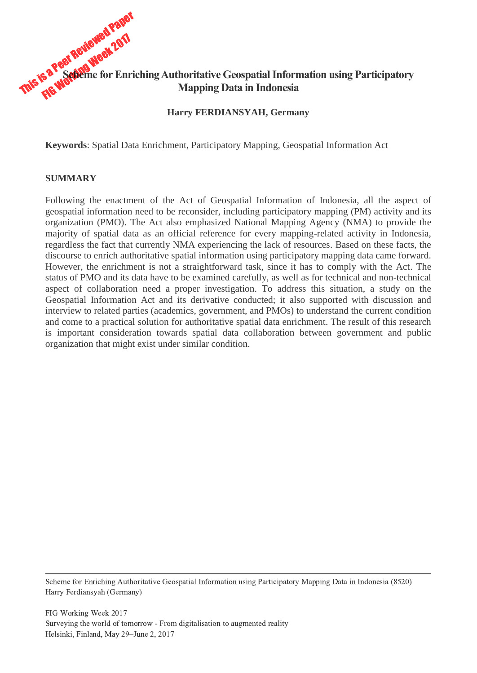# This is a Peer Reviewed Paper<br>This is a Peer Reviewed Paper **Scheme for Enriching Authoritative Geospatial Information using Participatory Mapping Data in Indonesia**

#### **Harry FERDIANSYAH, Germany**

**Keywords**: Spatial Data Enrichment, Participatory Mapping, Geospatial Information Act

#### **SUMMARY**

Following the enactment of the Act of Geospatial Information of Indonesia, all the aspect of geospatial information need to be reconsider, including participatory mapping (PM) activity and its organization (PMO). The Act also emphasized National Mapping Agency (NMA) to provide the majority of spatial data as an official reference for every mapping-related activity in Indonesia, regardless the fact that currently NMA experiencing the lack of resources. Based on these facts, the discourse to enrich authoritative spatial information using participatory mapping data came forward. However, the enrichment is not a straightforward task, since it has to comply with the Act. The status of PMO and its data have to be examined carefully, as well as for technical and non-technical aspect of collaboration need a proper investigation. To address this situation, a study on the Geospatial Information Act and its derivative conducted; it also supported with discussion and interview to related parties (academics, government, and PMOs) to understand the current condition and come to a practical solution for authoritative spatial data enrichment. The result of this research is important consideration towards spatial data collaboration between government and public organization that might exist under similar condition.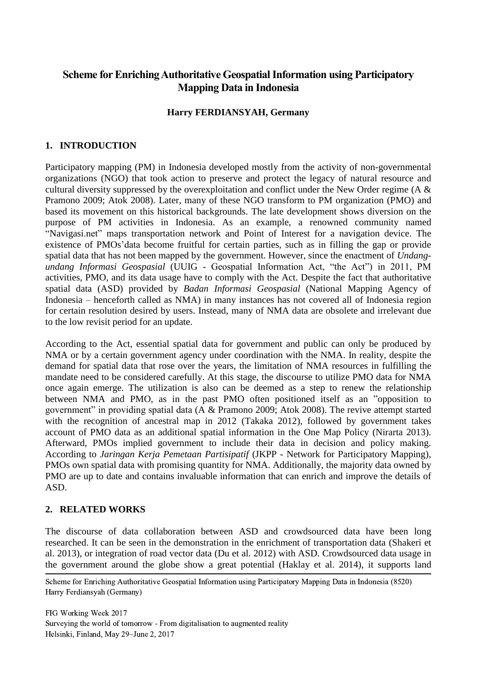# **Scheme for Enriching Authoritative Geospatial Information using Participatory Mapping Data in Indonesia**

#### **Harry FERDIANSYAH, Germany**

## **1. INTRODUCTION**

Participatory mapping (PM) in Indonesia developed mostly from the activity of non-governmental organizations (NGO) that took action to preserve and protect the legacy of natural resource and cultural diversity suppressed by the overexploitation and conflict under the New Order regime (A & Pramono 2009; Atok 2008). Later, many of these NGO transform to PM organization (PMO) and based its movement on this historical backgrounds. The late development shows diversion on the purpose of PM activities in Indonesia. As an example, a renowned community named "Navigasi.net" maps transportation network and Point of Interest for a navigation device. The existence of PMOs'data become fruitful for certain parties, such as in filling the gap or provide spatial data that has not been mapped by the government. However, since the enactment of *Undangundang Informasi Geospasial* (UUIG - Geospatial Information Act, "the Act") in 2011, PM activities, PMO, and its data usage have to comply with the Act. Despite the fact that authoritative spatial data (ASD) provided by *Badan Informasi Geospasial* (National Mapping Agency of Indonesia – henceforth called as NMA) in many instances has not covered all of Indonesia region for certain resolution desired by users. Instead, many of NMA data are obsolete and irrelevant due to the low revisit period for an update.

According to the Act, essential spatial data for government and public can only be produced by NMA or by a certain government agency under coordination with the NMA. In reality, despite the demand for spatial data that rose over the years, the limitation of NMA resources in fulfilling the mandate need to be considered carefully. At this stage, the discourse to utilize PMO data for NMA once again emerge. The utilization is also can be deemed as a step to renew the relationship between NMA and PMO, as in the past PMO often positioned itself as an "opposition to government" in providing spatial data (A & Pramono 2009; Atok 2008). The revive attempt started with the recognition of ancestral map in 2012 (Takaka 2012), followed by government takes account of PMO data as an additional spatial information in the One Map Policy (Nirarta 2013). Afterward, PMOs implied government to include their data in decision and policy making. According to *Jaringan Kerja Pemetaan Partisipatif* (JKPP - Network for Participatory Mapping), PMOs own spatial data with promising quantity for NMA. Additionally, the majority data owned by PMO are up to date and contains invaluable information that can enrich and improve the details of ASD.

#### **2. RELATED WORKS**

The discourse of data collaboration between ASD and crowdsourced data have been long researched. It can be seen in the demonstration in the enrichment of transportation data (Shakeri et al. 2013), or integration of road vector data (Du et al. 2012) with ASD. Crowdsourced data usage in the government around the globe show a great potential (Haklay et al. 2014), it supports land

Scheme for Enriching Authoritative Geospatial Information using Participatory Mapping Data in Indonesia (8520) Harry Ferdiansyah (Germany)

FIG Working Week 2017 Surveying the world of tomorrow - From digitalisation to augmented reality Helsinki, Finland, May 29–June 2, 2017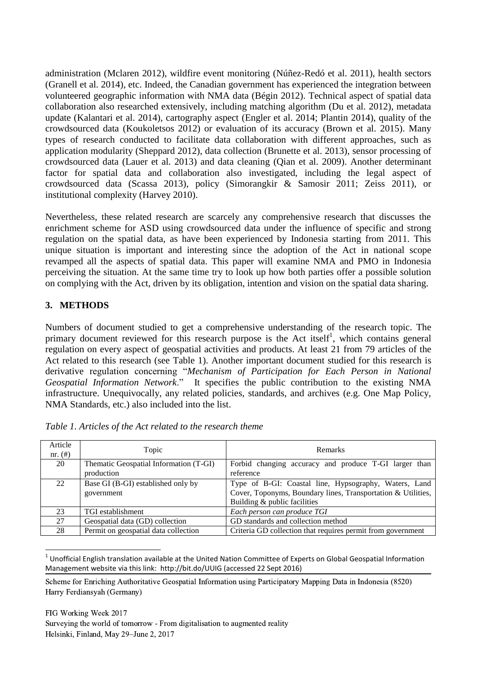administration (Mclaren 2012), wildfire event monitoring (Núñez-Redó et al. 2011), health sectors (Granell et al. 2014), etc. Indeed, the Canadian government has experienced the integration between volunteered geographic information with NMA data (Bégin 2012). Technical aspect of spatial data collaboration also researched extensively, including matching algorithm (Du et al. 2012), metadata update (Kalantari et al. 2014), cartography aspect (Engler et al. 2014; Plantin 2014), quality of the crowdsourced data (Koukoletsos 2012) or evaluation of its accuracy (Brown et al. 2015). Many types of research conducted to facilitate data collaboration with different approaches, such as application modularity (Sheppard 2012), data collection (Brunette et al. 2013), sensor processing of crowdsourced data (Lauer et al. 2013) and data cleaning (Qian et al. 2009). Another determinant factor for spatial data and collaboration also investigated, including the legal aspect of crowdsourced data (Scassa 2013), policy (Simorangkir & Samosir 2011; Zeiss 2011), or institutional complexity (Harvey 2010).

Nevertheless, these related research are scarcely any comprehensive research that discusses the enrichment scheme for ASD using crowdsourced data under the influence of specific and strong regulation on the spatial data, as have been experienced by Indonesia starting from 2011. This unique situation is important and interesting since the adoption of the Act in national scope revamped all the aspects of spatial data. This paper will examine NMA and PMO in Indonesia perceiving the situation. At the same time try to look up how both parties offer a possible solution on complying with the Act, driven by its obligation, intention and vision on the spatial data sharing.

## **3. METHODS**

Numbers of document studied to get a comprehensive understanding of the research topic. The primary document reviewed for this research purpose is the Act itself<sup>1</sup>, which contains general regulation on every aspect of geospatial activities and products. At least 21 from 79 articles of the Act related to this research (see [Table 1\)](#page-2-0). Another important document studied for this research is derivative regulation concerning "*Mechanism of Participation for Each Person in National Geospatial Information Network*." It specifies the public contribution to the existing NMA infrastructure. Unequivocally, any related policies, standards, and archives (e.g. One Map Policy, NMA Standards, etc.) also included into the list.

| Article<br>nr. $(\#)$ | Topic                                                | <b>Remarks</b>                                                                                                                                        |
|-----------------------|------------------------------------------------------|-------------------------------------------------------------------------------------------------------------------------------------------------------|
| 20                    | Thematic Geospatial Information (T-GI)<br>production | Forbid changing accuracy and produce T-GI larger than<br>reference                                                                                    |
| 22                    | Base GI (B-GI) established only by<br>government     | Type of B-GI: Coastal line, Hypsography, Waters, Land<br>Cover, Toponyms, Boundary lines, Transportation & Utilities,<br>Building & public facilities |
| 23                    | TGI establishment                                    | Each person can produce TGI                                                                                                                           |
| 27                    | Geospatial data (GD) collection                      | GD standards and collection method                                                                                                                    |
| 28                    | Permit on geospatial data collection                 | Criteria GD collection that requires permit from government                                                                                           |

<span id="page-2-0"></span>

|  |  |  |  | Table 1. Articles of the Act related to the research theme |  |
|--|--|--|--|------------------------------------------------------------|--|
|  |  |  |  |                                                            |  |

<sup>1</sup>  $1$  Unofficial English translation available at the United Nation Committee of Experts on Global Geospatial Information Management website via this link: http://bit.do/UUIG (accessed 22 Sept 2016)

Scheme for Enriching Authoritative Geospatial Information using Participatory Mapping Data in Indonesia (8520) Harry Ferdiansyah (Germany)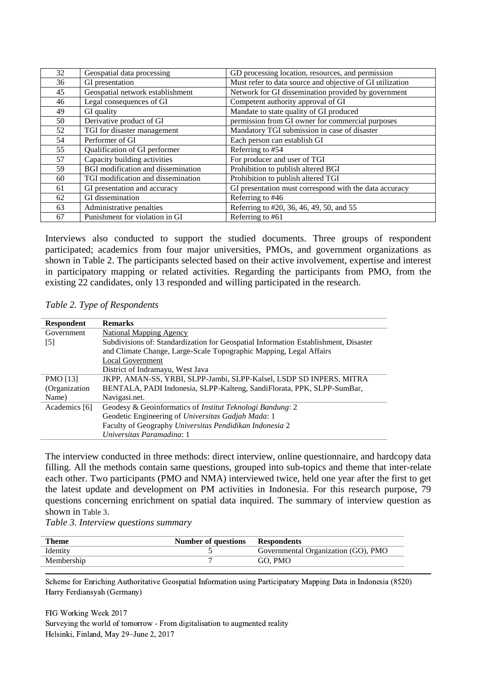| 32 | Geospatial data processing         | GD processing location, resources, and permission         |
|----|------------------------------------|-----------------------------------------------------------|
| 36 | GI presentation                    | Must refer to data source and objective of GI utilization |
| 45 | Geospatial network establishment   | Network for GI dissemination provided by government       |
| 46 | Legal consequences of GI           | Competent authority approval of GI                        |
| 49 | GI quality                         | Mandate to state quality of GI produced                   |
| 50 | Derivative product of GI           | permission from GI owner for commercial purposes          |
| 52 | TGI for disaster management        | Mandatory TGI submission in case of disaster              |
| 54 | Performer of GI                    | Each person can establish GI                              |
| 55 | Qualification of GI performer      | Referring to #54                                          |
| 57 | Capacity building activities       | For producer and user of TGI                              |
| 59 | BGI modification and dissemination | Prohibition to publish altered BGI                        |
| 60 | TGI modification and dissemination | Prohibition to publish altered TGI                        |
| 61 | GI presentation and accuracy       | GI presentation must correspond with the data accuracy    |
| 62 | GI dissemination                   | Referring to #46                                          |
| 63 | Administrative penalties           | Referring to #20, 36, 46, 49, 50, and 55                  |
| 67 | Punishment for violation in GI     | Referring to #61                                          |

Interviews also conducted to support the studied documents. Three groups of respondent participated; academics from four major universities, PMOs, and government organizations as shown in [Table 2.](#page-3-0) The participants selected based on their active involvement, expertise and interest in participatory mapping or related activities. Regarding the participants from PMO, from the existing 22 candidates, only 13 responded and willing participated in the research.

<span id="page-3-0"></span>

| <b>Respondent</b> | <b>Remarks</b>                                                                      |
|-------------------|-------------------------------------------------------------------------------------|
| Government        | <b>National Mapping Agency</b>                                                      |
| $\lceil 5 \rceil$ | Subdivisions of: Standardization for Geospatial Information Establishment, Disaster |
|                   | and Climate Change, Large-Scale Topographic Mapping, Legal Affairs                  |
|                   | <b>Local Government</b>                                                             |
|                   | District of Indramayu, West Java                                                    |
| PMO [13]          | JKPP, AMAN-SS, YRBI, SLPP-Jambi, SLPP-Kalsel, LSDP SD INPERS, MITRA                 |
| (Organization     | BENTALA, PADI Indonesia, SLPP-Kalteng, SandiFlorata, PPK, SLPP-SumBar,              |
| Name)             | Navigasi.net.                                                                       |
| Academics [6]     | Geodesy & Geoinformatics of <i>Institut Teknologi Bandung</i> : 2                   |
|                   | Geodetic Engineering of Universitas Gadjah Mada: 1                                  |
|                   | Faculty of Geography Universitas Pendidikan Indonesia 2                             |
|                   | Universitas Paramadina: 1                                                           |

The interview conducted in three methods: direct interview, online questionnaire, and hardcopy data filling. All the methods contain same questions, grouped into sub-topics and theme that inter-relate each other. Two participants (PMO and NMA) interviewed twice, held one year after the first to get the latest update and development on PM activities in Indonesia. For this research purpose, 79 questions concerning enrichment on spatial data inquired. The summary of interview question as shown in [Table 3](#page-3-1).

<span id="page-3-1"></span>*Table 3. Interview questions summary*

| Theme      | Number of questions | <b>Respondents</b>                  |
|------------|---------------------|-------------------------------------|
| Identity   |                     | Governmental Organization (GO), PMO |
| Membership |                     | GO. PMO                             |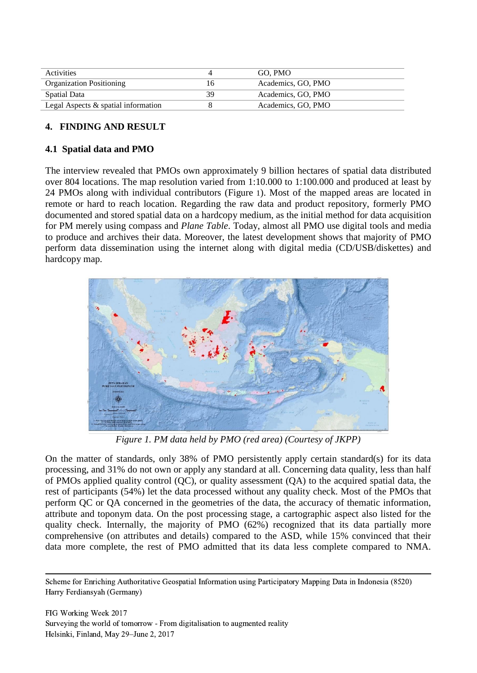| <b>Activities</b>                   |    | GO. PMO            |
|-------------------------------------|----|--------------------|
| <b>Organization Positioning</b>     |    | Academics, GO, PMO |
| <b>Spatial Data</b>                 | 39 | Academics, GO, PMO |
| Legal Aspects & spatial information |    | Academics, GO, PMO |

### **4. FINDING AND RESULT**

### **4.1 Spatial data and PMO**

The interview revealed that PMOs own approximately 9 billion hectares of spatial data distributed over 804 locations. The map resolution varied from 1:10.000 to 1:100.000 and produced at least by 24 PMOs along with individual contributors [\(Figure](#page-4-0) 1). Most of the mapped areas are located in remote or hard to reach location. Regarding the raw data and product repository, formerly PMO documented and stored spatial data on a hardcopy medium, as the initial method for data acquisition for PM merely using compass and *Plane Table*. Today, almost all PMO use digital tools and media to produce and archives their data. Moreover, the latest development shows that majority of PMO perform data dissemination using the internet along with digital media (CD/USB/diskettes) and hardcopy map.



*Figure 1. PM data held by PMO (red area) (Courtesy of JKPP)*

<span id="page-4-0"></span>On the matter of standards, only 38% of PMO persistently apply certain standard(s) for its data processing, and 31% do not own or apply any standard at all. Concerning data quality, less than half of PMOs applied quality control (QC), or quality assessment (QA) to the acquired spatial data, the rest of participants (54%) let the data processed without any quality check. Most of the PMOs that perform QC or QA concerned in the geometries of the data, the accuracy of thematic information, attribute and toponym data. On the post processing stage, a cartographic aspect also listed for the quality check. Internally, the majority of PMO (62%) recognized that its data partially more comprehensive (on attributes and details) compared to the ASD, while 15% convinced that their data more complete, the rest of PMO admitted that its data less complete compared to NMA.

Scheme for Enriching Authoritative Geospatial Information using Participatory Mapping Data in Indonesia (8520) Harry Ferdiansyah (Germany)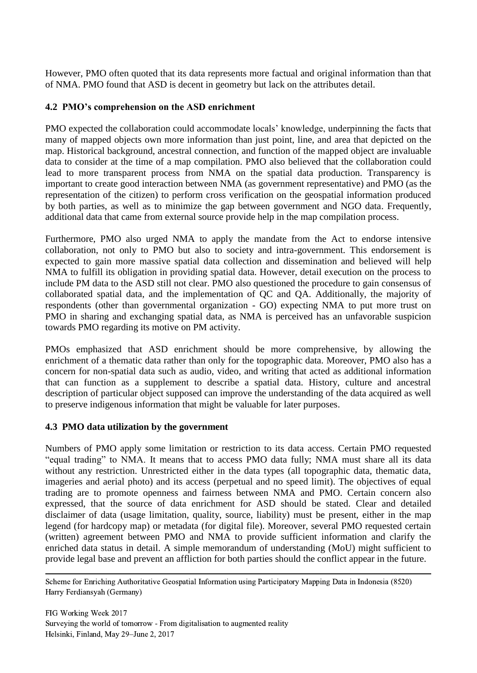However, PMO often quoted that its data represents more factual and original information than that of NMA. PMO found that ASD is decent in geometry but lack on the attributes detail.

#### **4.2 PMO's comprehension on the ASD enrichment**

PMO expected the collaboration could accommodate locals' knowledge, underpinning the facts that many of mapped objects own more information than just point, line, and area that depicted on the map. Historical background, ancestral connection, and function of the mapped object are invaluable data to consider at the time of a map compilation. PMO also believed that the collaboration could lead to more transparent process from NMA on the spatial data production. Transparency is important to create good interaction between NMA (as government representative) and PMO (as the representation of the citizen) to perform cross verification on the geospatial information produced by both parties, as well as to minimize the gap between government and NGO data. Frequently, additional data that came from external source provide help in the map compilation process.

Furthermore, PMO also urged NMA to apply the mandate from the Act to endorse intensive collaboration, not only to PMO but also to society and intra-government. This endorsement is expected to gain more massive spatial data collection and dissemination and believed will help NMA to fulfill its obligation in providing spatial data. However, detail execution on the process to include PM data to the ASD still not clear. PMO also questioned the procedure to gain consensus of collaborated spatial data, and the implementation of QC and QA. Additionally, the majority of respondents (other than governmental organization - GO) expecting NMA to put more trust on PMO in sharing and exchanging spatial data, as NMA is perceived has an unfavorable suspicion towards PMO regarding its motive on PM activity.

PMOs emphasized that ASD enrichment should be more comprehensive, by allowing the enrichment of a thematic data rather than only for the topographic data. Moreover, PMO also has a concern for non-spatial data such as audio, video, and writing that acted as additional information that can function as a supplement to describe a spatial data. History, culture and ancestral description of particular object supposed can improve the understanding of the data acquired as well to preserve indigenous information that might be valuable for later purposes.

#### **4.3 PMO data utilization by the government**

Numbers of PMO apply some limitation or restriction to its data access. Certain PMO requested "equal trading" to NMA. It means that to access PMO data fully; NMA must share all its data without any restriction. Unrestricted either in the data types (all topographic data, thematic data, imageries and aerial photo) and its access (perpetual and no speed limit). The objectives of equal trading are to promote openness and fairness between NMA and PMO. Certain concern also expressed, that the source of data enrichment for ASD should be stated. Clear and detailed disclaimer of data (usage limitation, quality, source, liability) must be present, either in the map legend (for hardcopy map) or metadata (for digital file). Moreover, several PMO requested certain (written) agreement between PMO and NMA to provide sufficient information and clarify the enriched data status in detail. A simple memorandum of understanding (MoU) might sufficient to provide legal base and prevent an affliction for both parties should the conflict appear in the future.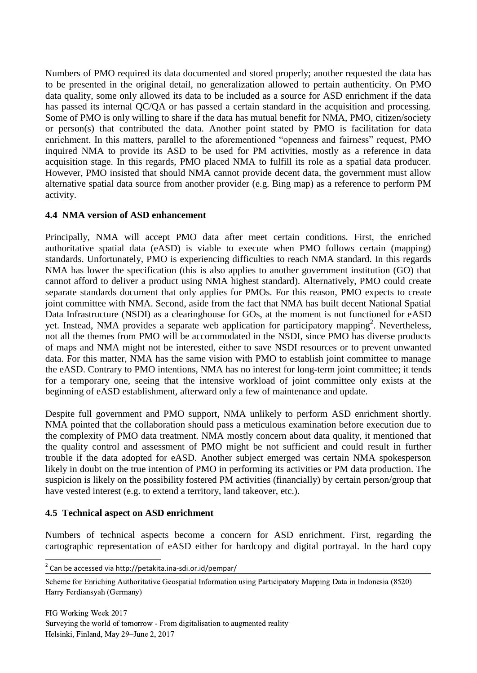Numbers of PMO required its data documented and stored properly; another requested the data has to be presented in the original detail, no generalization allowed to pertain authenticity. On PMO data quality, some only allowed its data to be included as a source for ASD enrichment if the data has passed its internal QC/QA or has passed a certain standard in the acquisition and processing. Some of PMO is only willing to share if the data has mutual benefit for NMA, PMO, citizen/society or person(s) that contributed the data. Another point stated by PMO is facilitation for data enrichment. In this matters, parallel to the aforementioned "openness and fairness" request, PMO inquired NMA to provide its ASD to be used for PM activities, mostly as a reference in data acquisition stage. In this regards, PMO placed NMA to fulfill its role as a spatial data producer. However, PMO insisted that should NMA cannot provide decent data, the government must allow alternative spatial data source from another provider (e.g. Bing map) as a reference to perform PM activity.

#### **4.4 NMA version of ASD enhancement**

Principally, NMA will accept PMO data after meet certain conditions. First, the enriched authoritative spatial data (eASD) is viable to execute when PMO follows certain (mapping) standards. Unfortunately, PMO is experiencing difficulties to reach NMA standard. In this regards NMA has lower the specification (this is also applies to another government institution (GO) that cannot afford to deliver a product using NMA highest standard). Alternatively, PMO could create separate standards document that only applies for PMOs. For this reason, PMO expects to create joint committee with NMA. Second, aside from the fact that NMA has built decent National Spatial Data Infrastructure (NSDI) as a clearinghouse for GOs, at the moment is not functioned for eASD yet. Instead, NMA provides a separate web application for participatory mapping<sup>2</sup>. Nevertheless, not all the themes from PMO will be accommodated in the NSDI, since PMO has diverse products of maps and NMA might not be interested, either to save NSDI resources or to prevent unwanted data. For this matter, NMA has the same vision with PMO to establish joint committee to manage the eASD. Contrary to PMO intentions, NMA has no interest for long-term joint committee; it tends for a temporary one, seeing that the intensive workload of joint committee only exists at the beginning of eASD establishment, afterward only a few of maintenance and update.

Despite full government and PMO support, NMA unlikely to perform ASD enrichment shortly. NMA pointed that the collaboration should pass a meticulous examination before execution due to the complexity of PMO data treatment. NMA mostly concern about data quality, it mentioned that the quality control and assessment of PMO might be not sufficient and could result in further trouble if the data adopted for eASD. Another subject emerged was certain NMA spokesperson likely in doubt on the true intention of PMO in performing its activities or PM data production. The suspicion is likely on the possibility fostered PM activities (financially) by certain person/group that have vested interest (e.g. to extend a territory, land takeover, etc.).

#### **4.5 Technical aspect on ASD enrichment**

Numbers of technical aspects become a concern for ASD enrichment. First, regarding the cartographic representation of eASD either for hardcopy and digital portrayal. In the hard copy

 2 Can be accessed via http://petakita.ina-sdi.or.id/pempar/

Scheme for Enriching Authoritative Geospatial Information using Participatory Mapping Data in Indonesia (8520) Harry Ferdiansyah (Germany)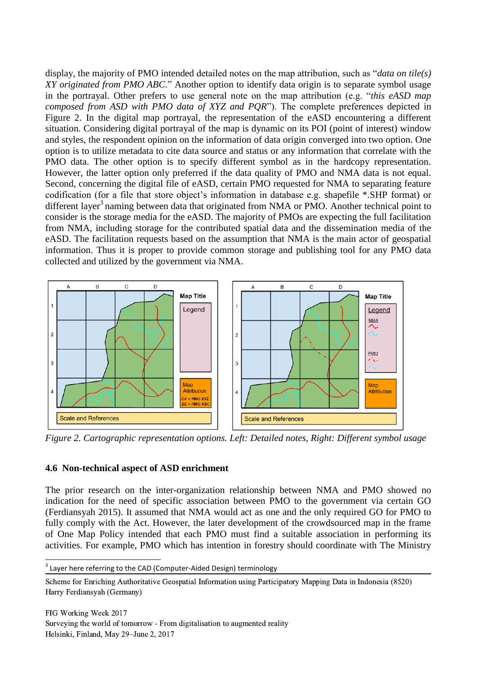display, the majority of PMO intended detailed notes on the map attribution, such as "*data on tile(s) XY originated from PMO ABC*." Another option to identify data origin is to separate symbol usage in the portrayal. Other prefers to use general note on the map attribution (e.g. "*this eASD map composed from ASD with PMO data of XYZ and PQR*"). The complete preferences depicted in [Figure](#page-7-0) 2. In the digital map portrayal, the representation of the eASD encountering a different situation. Considering digital portrayal of the map is dynamic on its POI (point of interest) window and styles, the respondent opinion on the information of data origin converged into two option. One option is to utilize metadata to cite data source and status or any information that correlate with the PMO data. The other option is to specify different symbol as in the hardcopy representation. However, the latter option only preferred if the data quality of PMO and NMA data is not equal. Second, concerning the digital file of eASD, certain PMO requested for NMA to separating feature codification (for a file that store object's information in database e.g. shapefile \*.SHP format) or different layer<sup>3</sup> naming between data that originated from NMA or PMO. Another technical point to consider is the storage media for the eASD. The majority of PMOs are expecting the full facilitation from NMA, including storage for the contributed spatial data and the dissemination media of the eASD. The facilitation requests based on the assumption that NMA is the main actor of geospatial information. Thus it is proper to provide common storage and publishing tool for any PMO data collected and utilized by the government via NMA.



<span id="page-7-0"></span>*Figure 2. Cartographic representation options. Left: Detailed notes, Right: Different symbol usage*

#### **4.6 Non-technical aspect of ASD enrichment**

The prior research on the inter-organization relationship between NMA and PMO showed no indication for the need of specific association between PMO to the government via certain GO (Ferdiansyah 2015). It assumed that NMA would act as one and the only required GO for PMO to fully comply with the Act. However, the later development of the crowdsourced map in the frame of One Map Policy intended that each PMO must find a suitable association in performing its activities. For example, PMO which has intention in forestry should coordinate with The Ministry

3 Layer here referring to the CAD (Computer-Aided Design) terminology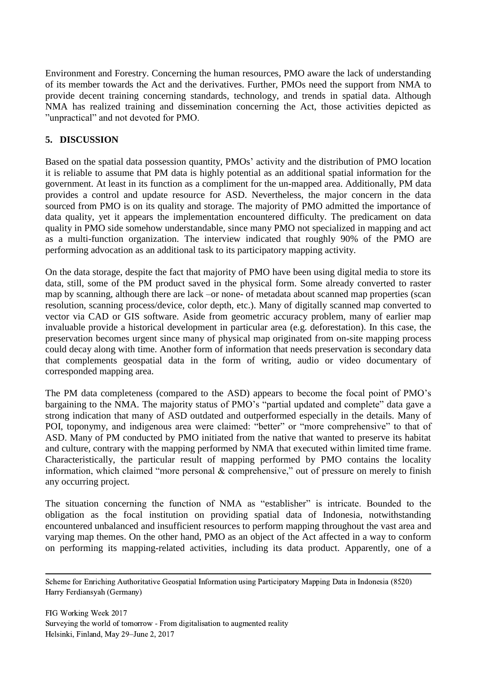Environment and Forestry. Concerning the human resources, PMO aware the lack of understanding of its member towards the Act and the derivatives. Further, PMOs need the support from NMA to provide decent training concerning standards, technology, and trends in spatial data. Although NMA has realized training and dissemination concerning the Act, those activities depicted as "unpractical" and not devoted for PMO.

#### **5. DISCUSSION**

Based on the spatial data possession quantity, PMOs' activity and the distribution of PMO location it is reliable to assume that PM data is highly potential as an additional spatial information for the government. At least in its function as a compliment for the un-mapped area. Additionally, PM data provides a control and update resource for ASD. Nevertheless, the major concern in the data sourced from PMO is on its quality and storage. The majority of PMO admitted the importance of data quality, yet it appears the implementation encountered difficulty. The predicament on data quality in PMO side somehow understandable, since many PMO not specialized in mapping and act as a multi-function organization. The interview indicated that roughly 90% of the PMO are performing advocation as an additional task to its participatory mapping activity.

On the data storage, despite the fact that majority of PMO have been using digital media to store its data, still, some of the PM product saved in the physical form. Some already converted to raster map by scanning, although there are lack –or none- of metadata about scanned map properties (scan resolution, scanning process/device, color depth, etc.). Many of digitally scanned map converted to vector via CAD or GIS software. Aside from geometric accuracy problem, many of earlier map invaluable provide a historical development in particular area (e.g. deforestation). In this case, the preservation becomes urgent since many of physical map originated from on-site mapping process could decay along with time. Another form of information that needs preservation is secondary data that complements geospatial data in the form of writing, audio or video documentary of corresponded mapping area.

The PM data completeness (compared to the ASD) appears to become the focal point of PMO's bargaining to the NMA. The majority status of PMO's "partial updated and complete" data gave a strong indication that many of ASD outdated and outperformed especially in the details. Many of POI, toponymy, and indigenous area were claimed: "better" or "more comprehensive" to that of ASD. Many of PM conducted by PMO initiated from the native that wanted to preserve its habitat and culture, contrary with the mapping performed by NMA that executed within limited time frame. Characteristically, the particular result of mapping performed by PMO contains the locality information, which claimed "more personal & comprehensive," out of pressure on merely to finish any occurring project.

The situation concerning the function of NMA as "establisher" is intricate. Bounded to the obligation as the focal institution on providing spatial data of Indonesia, notwithstanding encountered unbalanced and insufficient resources to perform mapping throughout the vast area and varying map themes. On the other hand, PMO as an object of the Act affected in a way to conform on performing its mapping-related activities, including its data product. Apparently, one of a

Scheme for Enriching Authoritative Geospatial Information using Participatory Mapping Data in Indonesia (8520) Harry Ferdiansyah (Germany)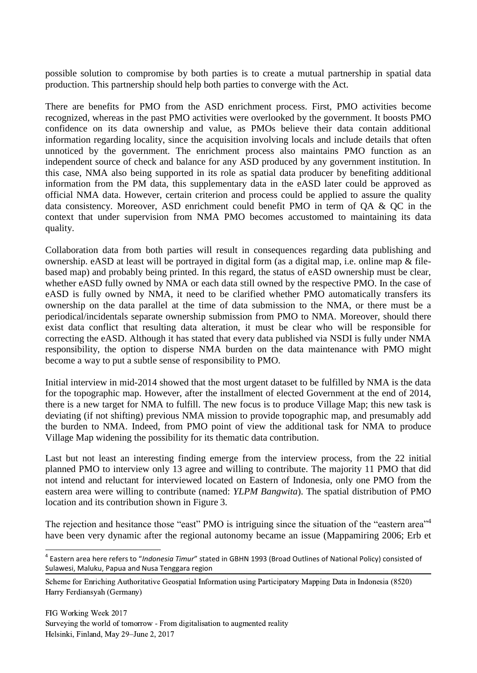possible solution to compromise by both parties is to create a mutual partnership in spatial data production. This partnership should help both parties to converge with the Act.

There are benefits for PMO from the ASD enrichment process. First, PMO activities become recognized, whereas in the past PMO activities were overlooked by the government. It boosts PMO confidence on its data ownership and value, as PMOs believe their data contain additional information regarding locality, since the acquisition involving locals and include details that often unnoticed by the government. The enrichment process also maintains PMO function as an independent source of check and balance for any ASD produced by any government institution. In this case, NMA also being supported in its role as spatial data producer by benefiting additional information from the PM data, this supplementary data in the eASD later could be approved as official NMA data. However, certain criterion and process could be applied to assure the quality data consistency. Moreover, ASD enrichment could benefit PMO in term of QA & QC in the context that under supervision from NMA PMO becomes accustomed to maintaining its data quality.

Collaboration data from both parties will result in consequences regarding data publishing and ownership. eASD at least will be portrayed in digital form (as a digital map, i.e. online map & filebased map) and probably being printed. In this regard, the status of eASD ownership must be clear, whether eASD fully owned by NMA or each data still owned by the respective PMO. In the case of eASD is fully owned by NMA, it need to be clarified whether PMO automatically transfers its ownership on the data parallel at the time of data submission to the NMA, or there must be a periodical/incidentals separate ownership submission from PMO to NMA. Moreover, should there exist data conflict that resulting data alteration, it must be clear who will be responsible for correcting the eASD. Although it has stated that every data published via NSDI is fully under NMA responsibility, the option to disperse NMA burden on the data maintenance with PMO might become a way to put a subtle sense of responsibility to PMO.

Initial interview in mid-2014 showed that the most urgent dataset to be fulfilled by NMA is the data for the topographic map. However, after the installment of elected Government at the end of 2014, there is a new target for NMA to fulfill. The new focus is to produce Village Map; this new task is deviating (if not shifting) previous NMA mission to provide topographic map, and presumably add the burden to NMA. Indeed, from PMO point of view the additional task for NMA to produce Village Map widening the possibility for its thematic data contribution.

Last but not least an interesting finding emerge from the interview process, from the 22 initial planned PMO to interview only 13 agree and willing to contribute. The majority 11 PMO that did not intend and reluctant for interviewed located on Eastern of Indonesia, only one PMO from the eastern area were willing to contribute (named: *YLPM Bangwita*). The spatial distribution of PMO location and its contribution shown in [Figure](#page-10-0) 3.

The rejection and hesitance those "east" PMO is intriguing since the situation of the "eastern area"<sup>4</sup> have been very dynamic after the regional autonomy became an issue (Mappamiring 2006; Erb et

1

<sup>4</sup> Eastern area here refers to "*Indonesia Timur*" stated in GBHN 1993 (Broad Outlines of National Policy) consisted of Sulawesi, Maluku, Papua and Nusa Tenggara region

Scheme for Enriching Authoritative Geospatial Information using Participatory Mapping Data in Indonesia (8520) Harry Ferdiansyah (Germany)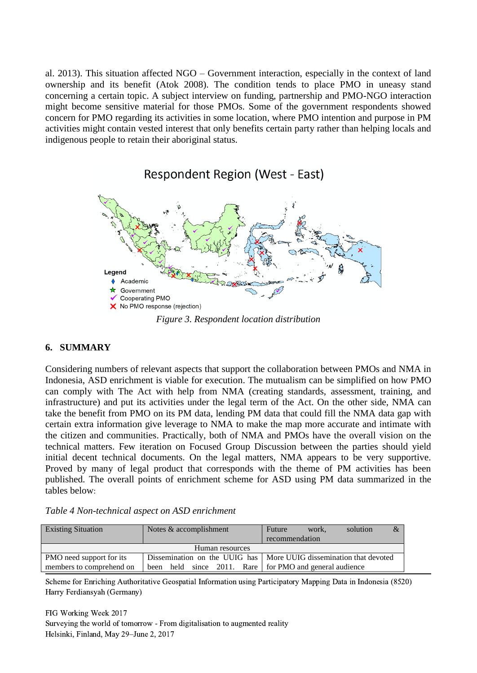al. 2013). This situation affected NGO – Government interaction, especially in the context of land ownership and its benefit (Atok 2008). The condition tends to place PMO in uneasy stand concerning a certain topic. A subject interview on funding, partnership and PMO-NGO interaction might become sensitive material for those PMOs. Some of the government respondents showed concern for PMO regarding its activities in some location, where PMO intention and purpose in PM activities might contain vested interest that only benefits certain party rather than helping locals and indigenous people to retain their aboriginal status.



*Figure 3. Respondent location distribution*

#### <span id="page-10-0"></span>**6. SUMMARY**

Considering numbers of relevant aspects that support the collaboration between PMOs and NMA in Indonesia, ASD enrichment is viable for execution. The mutualism can be simplified on how PMO can comply with The Act with help from NMA (creating standards, assessment, training, and infrastructure) and put its activities under the legal term of the Act. On the other side, NMA can take the benefit from PMO on its PM data, lending PM data that could fill the NMA data gap with certain extra information give leverage to NMA to make the map more accurate and intimate with the citizen and communities. Practically, both of NMA and PMOs have the overall vision on the technical matters. Few iteration on Focused Group Discussion between the parties should yield initial decent technical documents. On the legal matters, NMA appears to be very supportive. Proved by many of legal product that corresponds with the theme of PM activities has been published. The overall points of enrichment scheme for ASD using PM data summarized in the tables below:

|  | Table 4 Non-technical aspect on ASD enrichment |  |
|--|------------------------------------------------|--|
|  |                                                |  |

| <b>Existing Situation</b> | Notes & accomplishment | $\&$<br>solution<br>Future<br>work.                                  |  |  |  |  |
|---------------------------|------------------------|----------------------------------------------------------------------|--|--|--|--|
|                           |                        | recommendation                                                       |  |  |  |  |
| Human resources           |                        |                                                                      |  |  |  |  |
| PMO need support for its  |                        | Dissemination on the UUIG has   More UUIG dissemination that devoted |  |  |  |  |
| members to comprehend on  | been                   | held since 2011. Rare for PMO and general audience                   |  |  |  |  |

Scheme for Enriching Authoritative Geospatial Information using Participatory Mapping Data in Indonesia (8520) Harry Ferdiansyah (Germany)

FIG Working Week 2017 Surveying the world of tomorrow - From digitalisation to augmented reality Helsinki, Finland, May 29–June 2, 2017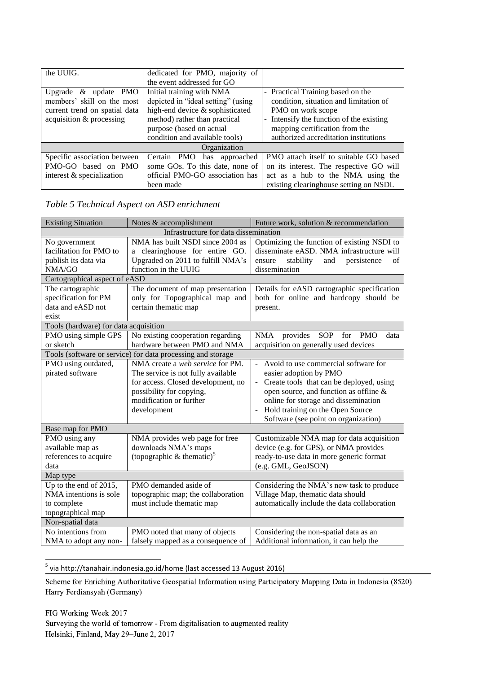| the UUIG.<br>dedicated for PMO, majority of |                                    |                                                             |  |  |
|---------------------------------------------|------------------------------------|-------------------------------------------------------------|--|--|
|                                             | the event addressed for GO         |                                                             |  |  |
| Upgrade $\&$ update PMO                     | Initial training with NMA          | Practical Training based on the<br>$\overline{\phantom{0}}$ |  |  |
| members' skill on the most                  | depicted in "ideal setting" (using | condition, situation and limitation of                      |  |  |
| current trend on spatial data               | high-end device & sophisticated    | PMO on work scope                                           |  |  |
| acquisition & processing                    | method) rather than practical      | Intensify the function of the existing                      |  |  |
|                                             | purpose (based on actual           | mapping certification from the                              |  |  |
|                                             | condition and available tools)     | authorized accreditation institutions                       |  |  |
| Organization                                |                                    |                                                             |  |  |
| Specific association between                | Certain PMO<br>approached<br>has   | PMO attach itself to suitable GO based                      |  |  |
| PMO-GO based on PMO                         | some GOs. To this date, none of    | on its interest. The respective GO will                     |  |  |
| interest & specialization                   | official PMO-GO association has    | act as a hub to the NMA using the                           |  |  |
|                                             | been made                          | existing clearinghouse setting on NSDI.                     |  |  |

## *Table 5 Technical Aspect on ASD enrichment*

| <b>Existing Situation</b><br>Notes & accomplishment |                                                             | Future work, solution & recommendation                               |  |  |  |  |
|-----------------------------------------------------|-------------------------------------------------------------|----------------------------------------------------------------------|--|--|--|--|
| Infrastructure for data dissemination               |                                                             |                                                                      |  |  |  |  |
| No government                                       | NMA has built NSDI since 2004 as                            | Optimizing the function of existing NSDI to                          |  |  |  |  |
| facilitation for PMO to                             | a clearinghouse for entire GO.                              | disseminate eASD. NMA infrastructure will                            |  |  |  |  |
| publish its data via                                | Upgraded on 2011 to fulfill NMA's                           | stability<br>and<br>persistence<br>ensure<br>of                      |  |  |  |  |
| NMA/GO                                              | function in the UUIG                                        | dissemination                                                        |  |  |  |  |
| Cartographical aspect of eASD                       |                                                             |                                                                      |  |  |  |  |
| The cartographic                                    | The document of map presentation                            | Details for eASD cartographic specification                          |  |  |  |  |
| specification for PM                                | only for Topographical map and                              | both for online and hardcopy should be                               |  |  |  |  |
| data and eASD not                                   | certain thematic map                                        | present.                                                             |  |  |  |  |
| exist                                               |                                                             |                                                                      |  |  |  |  |
| Tools (hardware) for data acquisition               |                                                             |                                                                      |  |  |  |  |
| PMO using simple GPS                                | No existing cooperation regarding                           | <b>NMA</b><br>provides<br><b>SOP</b><br><b>PMO</b><br>for<br>data    |  |  |  |  |
| or sketch                                           | hardware between PMO and NMA                                | acquisition on generally used devices                                |  |  |  |  |
|                                                     | Tools (software or service) for data processing and storage |                                                                      |  |  |  |  |
| PMO using outdated,                                 | NMA create a web service for PM.                            | Avoid to use commercial software for<br>$\equiv$                     |  |  |  |  |
| pirated software                                    | The service is not fully available                          | easier adoption by PMO                                               |  |  |  |  |
|                                                     | for access. Closed development, no                          | Create tools that can be deployed, using<br>$\overline{\phantom{a}}$ |  |  |  |  |
|                                                     | possibility for copying,                                    | open source, and function as offline &                               |  |  |  |  |
|                                                     | modification or further                                     | online for storage and dissemination                                 |  |  |  |  |
|                                                     | development                                                 | Hold training on the Open Source<br>$\frac{1}{2}$                    |  |  |  |  |
|                                                     |                                                             | Software (see point on organization)                                 |  |  |  |  |
| Base map for PMO                                    |                                                             |                                                                      |  |  |  |  |
| PMO using any                                       | NMA provides web page for free                              | Customizable NMA map for data acquisition                            |  |  |  |  |
| available map as                                    | downloads NMA's maps                                        | device (e.g. for GPS), or NMA provides                               |  |  |  |  |
| references to acquire                               | (topographic $\&$ thematic) <sup>5</sup>                    | ready-to-use data in more generic format                             |  |  |  |  |
| data                                                |                                                             | (e.g. GML, GeoJSON)                                                  |  |  |  |  |
| Map type                                            |                                                             |                                                                      |  |  |  |  |
| Up to the end of 2015,                              | PMO demanded aside of                                       | Considering the NMA's new task to produce                            |  |  |  |  |
| NMA intentions is sole                              | topographic map; the collaboration                          | Village Map, thematic data should                                    |  |  |  |  |
| to complete                                         | must include thematic map                                   | automatically include the data collaboration                         |  |  |  |  |
| topographical map                                   |                                                             |                                                                      |  |  |  |  |
| Non-spatial data                                    |                                                             |                                                                      |  |  |  |  |
| No intentions from                                  | PMO noted that many of objects                              | Considering the non-spatial data as an                               |  |  |  |  |
| NMA to adopt any non-                               | falsely mapped as a consequence of                          | Additional information, it can help the                              |  |  |  |  |

5 via http://tanahair.indonesia.go.id/home (last accessed 13 August 2016)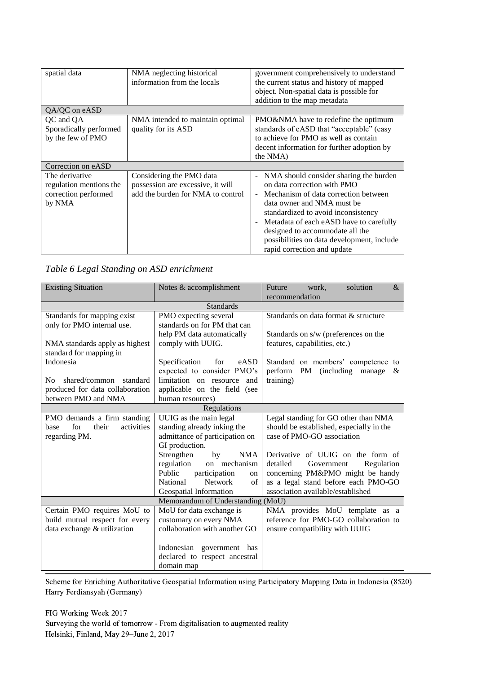| spatial data                                                                | NMA neglecting historical<br>information from the locals                                           | government comprehensively to understand<br>the current status and history of mapped<br>object. Non-spatial data is possible for<br>addition to the map metadata                                                                                                                                                                                                                              |
|-----------------------------------------------------------------------------|----------------------------------------------------------------------------------------------------|-----------------------------------------------------------------------------------------------------------------------------------------------------------------------------------------------------------------------------------------------------------------------------------------------------------------------------------------------------------------------------------------------|
| QA/QC on eASD                                                               |                                                                                                    |                                                                                                                                                                                                                                                                                                                                                                                               |
| QC and QA<br>Sporadically performed<br>by the few of PMO                    | NMA intended to maintain optimal<br>quality for its ASD                                            | PMO&NMA have to redefine the optimum<br>standards of eASD that "acceptable" (easy<br>to achieve for PMO as well as contain<br>decent information for further adoption by<br>the NMA)                                                                                                                                                                                                          |
| Correction on eASD                                                          |                                                                                                    |                                                                                                                                                                                                                                                                                                                                                                                               |
| The derivative<br>regulation mentions the<br>correction performed<br>by NMA | Considering the PMO data<br>possession are excessive, it will<br>add the burden for NMA to control | - NMA should consider sharing the burden<br>on data correction with PMO<br>Mechanism of data correction between<br>$\blacksquare$<br>data owner and NMA must be<br>standardized to avoid inconsistency<br>Metadata of each eASD have to carefully<br>$\overline{\phantom{a}}$<br>designed to accommodate all the<br>possibilities on data development, include<br>rapid correction and update |

# *Table 6 Legal Standing on ASD enrichment*

| Notes & accomplishment                  | Future<br>solution<br>$\&$<br>work.<br>recommendation                                                                                                                                                                                                                                                                                                                                                                                                                             |
|-----------------------------------------|-----------------------------------------------------------------------------------------------------------------------------------------------------------------------------------------------------------------------------------------------------------------------------------------------------------------------------------------------------------------------------------------------------------------------------------------------------------------------------------|
|                                         |                                                                                                                                                                                                                                                                                                                                                                                                                                                                                   |
|                                         | Standards on data format & structure                                                                                                                                                                                                                                                                                                                                                                                                                                              |
|                                         |                                                                                                                                                                                                                                                                                                                                                                                                                                                                                   |
|                                         |                                                                                                                                                                                                                                                                                                                                                                                                                                                                                   |
|                                         | Standards on s/w (preferences on the                                                                                                                                                                                                                                                                                                                                                                                                                                              |
|                                         | features, capabilities, etc.)                                                                                                                                                                                                                                                                                                                                                                                                                                                     |
|                                         |                                                                                                                                                                                                                                                                                                                                                                                                                                                                                   |
|                                         | Standard on members' competence to                                                                                                                                                                                                                                                                                                                                                                                                                                                |
|                                         | perform<br>PM (including<br>manage<br>&                                                                                                                                                                                                                                                                                                                                                                                                                                           |
|                                         | training)                                                                                                                                                                                                                                                                                                                                                                                                                                                                         |
|                                         |                                                                                                                                                                                                                                                                                                                                                                                                                                                                                   |
|                                         |                                                                                                                                                                                                                                                                                                                                                                                                                                                                                   |
| PMO demands a firm standing             |                                                                                                                                                                                                                                                                                                                                                                                                                                                                                   |
|                                         | Legal standing for GO other than NMA                                                                                                                                                                                                                                                                                                                                                                                                                                              |
|                                         | should be established, especially in the                                                                                                                                                                                                                                                                                                                                                                                                                                          |
|                                         | case of PMO-GO association                                                                                                                                                                                                                                                                                                                                                                                                                                                        |
| GI production.                          |                                                                                                                                                                                                                                                                                                                                                                                                                                                                                   |
| Strengthen<br>by<br><b>NMA</b>          | Derivative of UUIG on the form of                                                                                                                                                                                                                                                                                                                                                                                                                                                 |
| regulation<br>on mechanism              | detailed<br>Regulation<br>Government                                                                                                                                                                                                                                                                                                                                                                                                                                              |
| Public<br>participation<br>on           | concerning PM&PMO might be handy                                                                                                                                                                                                                                                                                                                                                                                                                                                  |
| <b>National</b><br><b>Network</b><br>of | as a legal stand before each PMO-GO                                                                                                                                                                                                                                                                                                                                                                                                                                               |
|                                         | association available/established                                                                                                                                                                                                                                                                                                                                                                                                                                                 |
| Memorandum of Understanding (MoU)       |                                                                                                                                                                                                                                                                                                                                                                                                                                                                                   |
| MoU for data exchange is                | NMA provides MoU template as a                                                                                                                                                                                                                                                                                                                                                                                                                                                    |
| customary on every NMA                  | reference for PMO-GO collaboration to                                                                                                                                                                                                                                                                                                                                                                                                                                             |
| collaboration with another GO           | ensure compatibility with UUIG                                                                                                                                                                                                                                                                                                                                                                                                                                                    |
|                                         |                                                                                                                                                                                                                                                                                                                                                                                                                                                                                   |
|                                         |                                                                                                                                                                                                                                                                                                                                                                                                                                                                                   |
|                                         |                                                                                                                                                                                                                                                                                                                                                                                                                                                                                   |
| domain map                              |                                                                                                                                                                                                                                                                                                                                                                                                                                                                                   |
|                                         | <b>Standards</b><br>PMO expecting several<br>standards on for PM that can<br>help PM data automatically<br>comply with UUIG.<br>Specification<br>for<br>eASD<br>expected to consider PMO's<br>limitation on resource<br>and<br>applicable on the field (see<br>human resources)<br>Regulations<br>UUIG as the main legal<br>standing already inking the<br>admittance of participation on<br>Geospatial Information<br>Indonesian government has<br>declared to respect ancestral |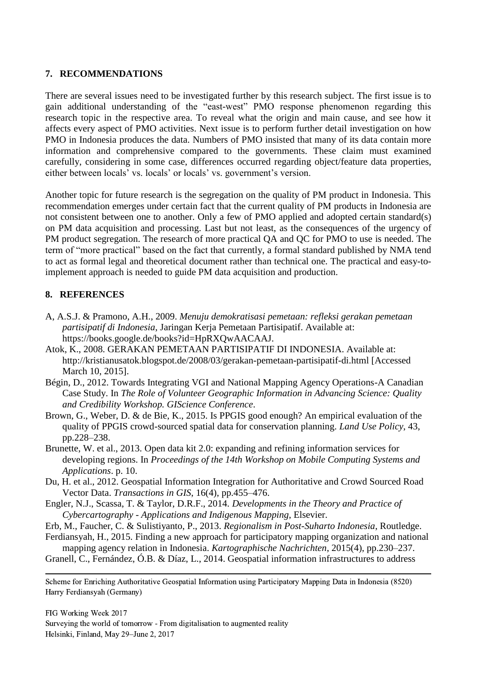#### **7. RECOMMENDATIONS**

There are several issues need to be investigated further by this research subject. The first issue is to gain additional understanding of the "east-west" PMO response phenomenon regarding this research topic in the respective area. To reveal what the origin and main cause, and see how it affects every aspect of PMO activities. Next issue is to perform further detail investigation on how PMO in Indonesia produces the data. Numbers of PMO insisted that many of its data contain more information and comprehensive compared to the governments. These claim must examined carefully, considering in some case, differences occurred regarding object/feature data properties, either between locals' vs. locals' or locals' vs. government's version.

Another topic for future research is the segregation on the quality of PM product in Indonesia. This recommendation emerges under certain fact that the current quality of PM products in Indonesia are not consistent between one to another. Only a few of PMO applied and adopted certain standard(s) on PM data acquisition and processing. Last but not least, as the consequences of the urgency of PM product segregation. The research of more practical QA and QC for PMO to use is needed. The term of "more practical" based on the fact that currently, a formal standard published by NMA tend to act as formal legal and theoretical document rather than technical one. The practical and easy-toimplement approach is needed to guide PM data acquisition and production.

#### **8. REFERENCES**

- A, A.S.J. & Pramono, A.H., 2009. *Menuju demokratisasi pemetaan: refleksi gerakan pemetaan partisipatif di Indonesia*, Jaringan Kerja Pemetaan Partisipatif. Available at: https://books.google.de/books?id=HpRXQwAACAAJ.
- Atok, K., 2008. GERAKAN PEMETAAN PARTISIPATIF DI INDONESIA. Available at: http://kristianusatok.blogspot.de/2008/03/gerakan-pemetaan-partisipatif-di.html [Accessed March 10, 2015].
- Bégin, D., 2012. Towards Integrating VGI and National Mapping Agency Operations-A Canadian Case Study. In *The Role of Volunteer Geographic Information in Advancing Science: Quality and Credibility Workshop. GIScience Conference*.
- Brown, G., Weber, D. & de Bie, K., 2015. Is PPGIS good enough? An empirical evaluation of the quality of PPGIS crowd-sourced spatial data for conservation planning. *Land Use Policy*, 43, pp.228–238.
- Brunette, W. et al., 2013. Open data kit 2.0: expanding and refining information services for developing regions. In *Proceedings of the 14th Workshop on Mobile Computing Systems and Applications*. p. 10.
- Du, H. et al., 2012. Geospatial Information Integration for Authoritative and Crowd Sourced Road Vector Data. *Transactions in GIS*, 16(4), pp.455–476.
- Engler, N.J., Scassa, T. & Taylor, D.R.F., 2014. *Developments in the Theory and Practice of Cybercartography - Applications and Indigenous Mapping*, Elsevier.
- Erb, M., Faucher, C. & Sulistiyanto, P., 2013. *Regionalism in Post-Suharto Indonesia*, Routledge.

Ferdiansyah, H., 2015. Finding a new approach for participatory mapping organization and national

mapping agency relation in Indonesia. *Kartographische Nachrichten*, 2015(4), pp.230–237. Granell, C., Fernández, Ó.B. & Díaz, L., 2014. Geospatial information infrastructures to address

Scheme for Enriching Authoritative Geospatial Information using Participatory Mapping Data in Indonesia (8520) Harry Ferdiansyah (Germany)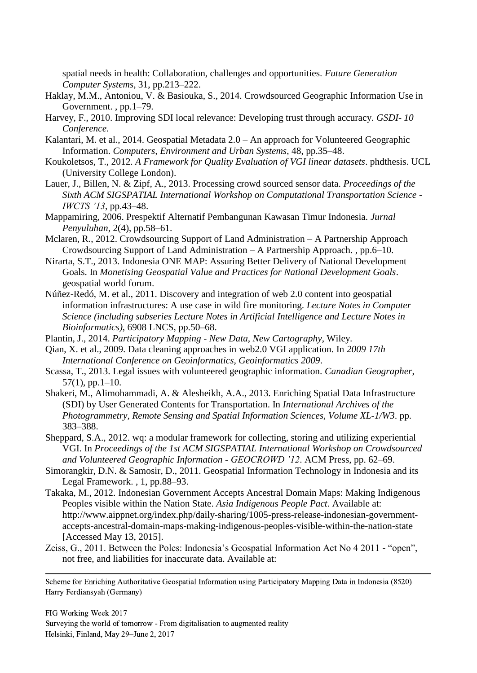spatial needs in health: Collaboration, challenges and opportunities. *Future Generation Computer Systems*, 31, pp.213–222.

- Haklay, M.M., Antoniou, V. & Basiouka, S., 2014. Crowdsourced Geographic Information Use in Government. , pp.1–79.
- Harvey, F., 2010. Improving SDI local relevance: Developing trust through accuracy. *GSDI- 10 Conference*.
- Kalantari, M. et al., 2014. Geospatial Metadata 2.0 An approach for Volunteered Geographic Information. *Computers, Environment and Urban Systems*, 48, pp.35–48.
- Koukoletsos, T., 2012. *A Framework for Quality Evaluation of VGI linear datasets*. phdthesis. UCL (University College London).
- Lauer, J., Billen, N. & Zipf, A., 2013. Processing crowd sourced sensor data. *Proceedings of the Sixth ACM SIGSPATIAL International Workshop on Computational Transportation Science - IWCTS '13*, pp.43–48.
- Mappamiring, 2006. Prespektif Alternatif Pembangunan Kawasan Timur Indonesia. *Jurnal Penyuluhan*, 2(4), pp.58–61.
- Mclaren, R., 2012. Crowdsourcing Support of Land Administration A Partnership Approach Crowdsourcing Support of Land Administration – A Partnership Approach. , pp.6–10.
- Nirarta, S.T., 2013. Indonesia ONE MAP: Assuring Better Delivery of National Development Goals. In *Monetising Geospatial Value and Practices for National Development Goals*. geospatial world forum.
- Núñez-Redó, M. et al., 2011. Discovery and integration of web 2.0 content into geospatial information infrastructures: A use case in wild fire monitoring. *Lecture Notes in Computer Science (including subseries Lecture Notes in Artificial Intelligence and Lecture Notes in Bioinformatics)*, 6908 LNCS, pp.50–68.
- Plantin, J., 2014. *Participatory Mapping - New Data, New Cartography*, Wiley.
- Qian, X. et al., 2009. Data cleaning approaches in web2.0 VGI application. In *2009 17th International Conference on Geoinformatics, Geoinformatics 2009*.
- Scassa, T., 2013. Legal issues with volunteered geographic information. *Canadian Geographer*,  $57(1)$ , pp. 1–10.
- Shakeri, M., Alimohammadi, A. & Alesheikh, A.A., 2013. Enriching Spatial Data Infrastructure (SDI) by User Generated Contents for Transportation. In *International Archives of the Photogrammetry, Remote Sensing and Spatial Information Sciences, Volume XL-1/W3*. pp. 383–388.
- Sheppard, S.A., 2012. wq: a modular framework for collecting, storing and utilizing experiential VGI. In *Proceedings of the 1st ACM SIGSPATIAL International Workshop on Crowdsourced and Volunteered Geographic Information - GEOCROWD '12*. ACM Press, pp. 62–69.
- Simorangkir, D.N. & Samosir, D., 2011. Geospatial Information Technology in Indonesia and its Legal Framework. , 1, pp.88–93.
- Takaka, M., 2012. Indonesian Government Accepts Ancestral Domain Maps: Making Indigenous Peoples visible within the Nation State. *Asia Indigenous People Pact*. Available at: http://www.aippnet.org/index.php/daily-sharing/1005-press-release-indonesian-governmentaccepts-ancestral-domain-maps-making-indigenous-peoples-visible-within-the-nation-state [Accessed May 13, 2015].
- Zeiss, G., 2011. Between the Poles: Indonesia's Geospatial Information Act No 4 2011 "open", not free, and liabilities for inaccurate data. Available at:

Scheme for Enriching Authoritative Geospatial Information using Participatory Mapping Data in Indonesia (8520) Harry Ferdiansyah (Germany)